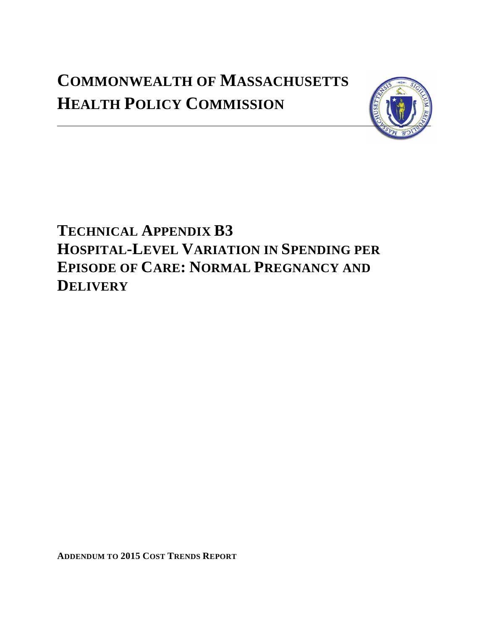# **COMMONWEALTH OF MASSACHUSETTS HEALTH POLICY COMMISSION**



**TECHNICAL APPENDIX B3 HOSPITAL-LEVEL VARIATION IN SPENDING PER EPISODE OF CARE: NORMAL PREGNANCY AND DELIVERY**

**ADDENDUM TO 2015 COST TRENDS REPORT**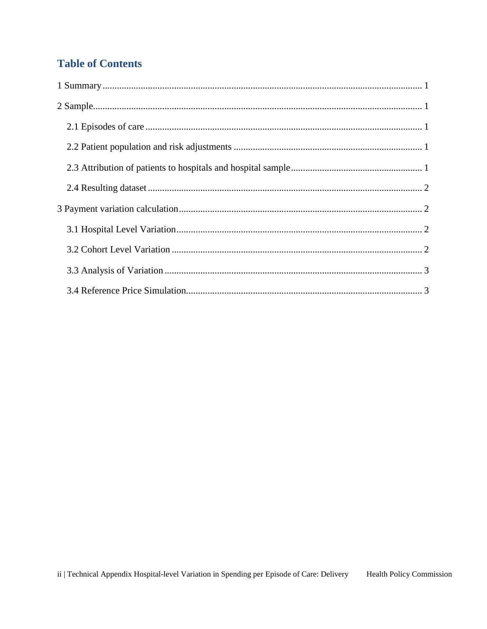## **Table of Contents**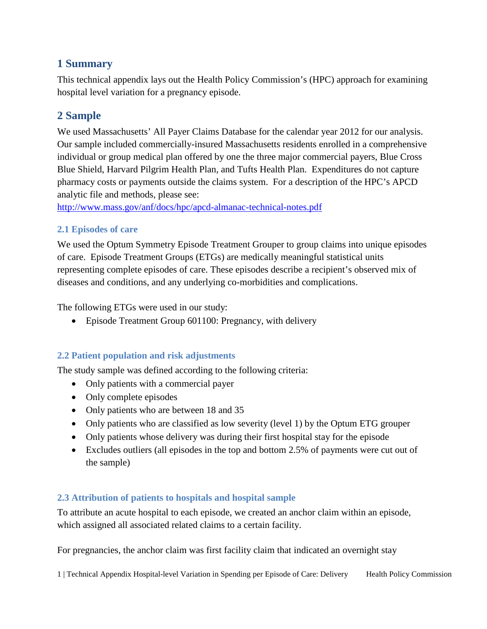## <span id="page-2-0"></span>**1 Summary**

This technical appendix lays out the Health Policy Commission's (HPC) approach for examining hospital level variation for a pregnancy episode.

## <span id="page-2-1"></span>**2 Sample**

We used Massachusetts' All Payer Claims Database for the calendar year 2012 for our analysis. Our sample included commercially-insured Massachusetts residents enrolled in a comprehensive individual or group medical plan offered by one the three major commercial payers, Blue Cross Blue Shield, Harvard Pilgrim Health Plan, and Tufts Health Plan. Expenditures do not capture pharmacy costs or payments outside the claims system. For a description of the HPC's APCD analytic file and methods, please see:

<http://www.mass.gov/anf/docs/hpc/apcd-almanac-technical-notes.pdf>

#### <span id="page-2-2"></span>**2.1 Episodes of care**

We used the Optum Symmetry Episode Treatment Grouper to group claims into unique episodes of care. Episode Treatment Groups (ETGs) are medically meaningful statistical units representing complete episodes of care. These episodes describe a recipient's observed mix of diseases and conditions, and any underlying co-morbidities and complications.

The following ETGs were used in our study:

• Episode Treatment Group 601100: Pregnancy, with delivery

#### <span id="page-2-3"></span>**2.2 Patient population and risk adjustments**

The study sample was defined according to the following criteria:

- Only patients with a commercial payer
- Only complete episodes
- Only patients who are between 18 and 35
- Only patients who are classified as low severity (level 1) by the Optum ETG grouper
- Only patients whose delivery was during their first hospital stay for the episode
- Excludes outliers (all episodes in the top and bottom 2.5% of payments were cut out of the sample)

#### <span id="page-2-4"></span>**2.3 Attribution of patients to hospitals and hospital sample**

To attribute an acute hospital to each episode, we created an anchor claim within an episode, which assigned all associated related claims to a certain facility.

For pregnancies, the anchor claim was first facility claim that indicated an overnight stay

1 | Technical Appendix Hospital-level Variation in Spending per Episode of Care: Delivery Health Policy Commission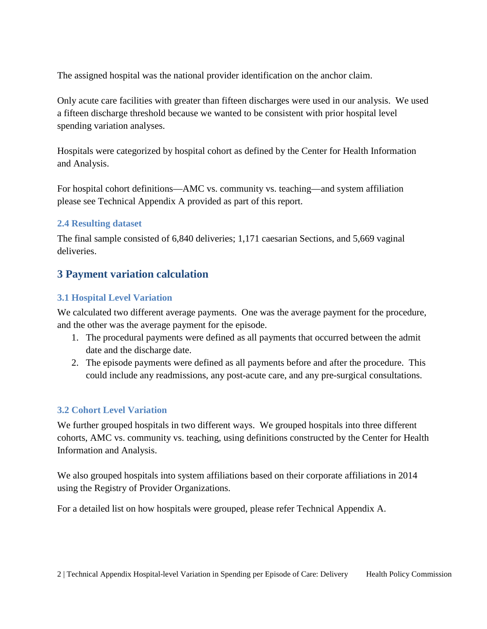The assigned hospital was the national provider identification on the anchor claim.

Only acute care facilities with greater than fifteen discharges were used in our analysis. We used a fifteen discharge threshold because we wanted to be consistent with prior hospital level spending variation analyses.

Hospitals were categorized by hospital cohort as defined by the Center for Health Information and Analysis.

For hospital cohort definitions—AMC vs. community vs. teaching—and system affiliation please see Technical Appendix A provided as part of this report.

#### <span id="page-3-0"></span>**2.4 Resulting dataset**

The final sample consisted of 6,840 deliveries; 1,171 caesarian Sections, and 5,669 vaginal deliveries.

### <span id="page-3-1"></span>**3 Payment variation calculation**

#### <span id="page-3-2"></span>**3.1 Hospital Level Variation**

We calculated two different average payments. One was the average payment for the procedure, and the other was the average payment for the episode.

- 1. The procedural payments were defined as all payments that occurred between the admit date and the discharge date.
- 2. The episode payments were defined as all payments before and after the procedure. This could include any readmissions, any post-acute care, and any pre-surgical consultations.

#### <span id="page-3-3"></span>**3.2 Cohort Level Variation**

We further grouped hospitals in two different ways. We grouped hospitals into three different cohorts, AMC vs. community vs. teaching, using definitions constructed by the Center for Health Information and Analysis.

We also grouped hospitals into system affiliations based on their corporate affiliations in 2014 using the Registry of Provider Organizations.

For a detailed list on how hospitals were grouped, please refer Technical Appendix A.